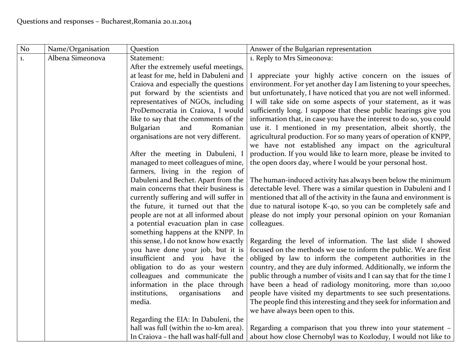| N <sub>o</sub> | Name/Organisation | Question                                                                     | Answer of the Bulgarian representation                                                                                               |
|----------------|-------------------|------------------------------------------------------------------------------|--------------------------------------------------------------------------------------------------------------------------------------|
| 1.             | Albena Simeonova  | Statement:                                                                   | 1. Reply to Mrs Simeonova:                                                                                                           |
|                |                   | After the extremely useful meetings,                                         |                                                                                                                                      |
|                |                   | at least for me, held in Dabuleni and                                        | I appreciate your highly active concern on the issues of                                                                             |
|                |                   | Craiova and especially the questions                                         | environment. For yet another day I am listening to your speeches,                                                                    |
|                |                   | put forward by the scientists and                                            | but unfortunately, I have noticed that you are not well informed.                                                                    |
|                |                   | representatives of NGOs, including                                           | I will take side on some aspects of your statement, as it was                                                                        |
|                |                   | ProDemocratia in Craiova, I would                                            | sufficiently long. I suppose that these public hearings give you                                                                     |
|                |                   | like to say that the comments of the                                         | information that, in case you have the interest to do so, you could                                                                  |
|                |                   | Bulgarian<br>and<br>Romanian                                                 | use it. I mentioned in my presentation, albeit shortly, the                                                                          |
|                |                   | organisations are not very different.                                        | agricultural production. For so many years of operation of KNPP,                                                                     |
|                |                   |                                                                              | we have not established any impact on the agricultural                                                                               |
|                |                   | After the meeting in Dabuleni, I                                             | production. If you would like to learn more, please be invited to                                                                    |
|                |                   | managed to meet colleagues of mine,                                          | the open doors day, where I would be your personal host.                                                                             |
|                |                   | farmers, living in the region of                                             |                                                                                                                                      |
|                |                   | Dabuleni and Bechet. Apart from the                                          | The human-induced activity has always been below the minimum                                                                         |
|                |                   | main concerns that their business is                                         | detectable level. There was a similar question in Dabuleni and I                                                                     |
|                |                   | currently suffering and will suffer in<br>the future, it turned out that the | mentioned that all of the activity in the fauna and environment is<br>due to natural isotope K-40, so you can be completely safe and |
|                |                   | people are not at all informed about                                         | please do not imply your personal opinion on your Romanian                                                                           |
|                |                   | a potential evacuation plan in case                                          | colleagues.                                                                                                                          |
|                |                   | something happens at the KNPP. In                                            |                                                                                                                                      |
|                |                   | this sense, I do not know how exactly                                        | Regarding the level of information. The last slide I showed                                                                          |
|                |                   | you have done your job, but it is                                            | focused on the methods we use to inform the public. We are first                                                                     |
|                |                   | insufficient and you have the                                                | obliged by law to inform the competent authorities in the                                                                            |
|                |                   | obligation to do as your western                                             | country, and they are duly informed. Additionally, we inform the                                                                     |
|                |                   | colleagues and communicate the                                               | public through a number of visits and I can say that for the time I                                                                  |
|                |                   | information in the place through                                             | have been a head of radiology monitoring, more than 10,000                                                                           |
|                |                   | institutions,<br>organisations<br>and                                        | people have visited my departments to see such presentations.                                                                        |
|                |                   | media.                                                                       | The people find this interesting and they seek for information and                                                                   |
|                |                   |                                                                              | we have always been open to this.                                                                                                    |
|                |                   | Regarding the EIA: In Dabuleni, the                                          |                                                                                                                                      |
|                |                   | hall was full (within the 10-km area).                                       | Regarding a comparison that you threw into your statement -                                                                          |
|                |                   | In Craiova - the hall was half-full and                                      | about how close Chernobyl was to Kozloduy, I would not like to                                                                       |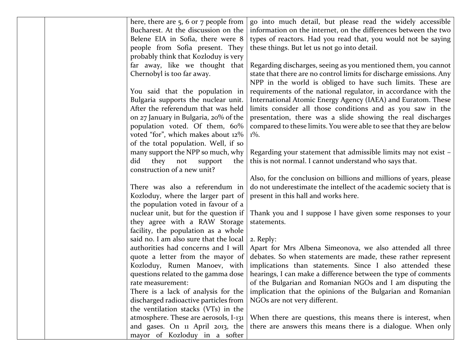|  | here, there are $5, 6$ or $7$ people from | go into much detail, but please read the widely accessible          |
|--|-------------------------------------------|---------------------------------------------------------------------|
|  | Bucharest. At the discussion on the       | information on the internet, on the differences between the two     |
|  | Belene EIA in Sofia, there were 8         | types of reactors. Had you read that, you would not be saying       |
|  | people from Sofia present. They           | these things. But let us not go into detail.                        |
|  | probably think that Kozloduy is very      |                                                                     |
|  | far away, like we thought that            | Regarding discharges, seeing as you mentioned them, you cannot      |
|  | Chernobyl is too far away.                | state that there are no control limits for discharge emissions. Any |
|  |                                           | NPP in the world is obliged to have such limits. These are          |
|  | You said that the population in           | requirements of the national regulator, in accordance with the      |
|  | Bulgaria supports the nuclear unit.       | International Atomic Energy Agency (IAEA) and Euratom. These        |
|  | After the referendum that was held        | limits consider all those conditions and as you saw in the          |
|  | on 27 January in Bulgaria, 20% of the     | presentation, there was a slide showing the real discharges         |
|  | population voted. Of them, 60%            | compared to these limits. You were able to see that they are below  |
|  | voted "for", which makes about 12%        | $1\%$ .                                                             |
|  | of the total population. Well, if so      |                                                                     |
|  | many support the NPP so much, why         | Regarding your statement that admissible limits may not exist -     |
|  | did<br>they not<br>support<br>the         | this is not normal. I cannot understand who says that.              |
|  | construction of a new unit?               |                                                                     |
|  |                                           | Also, for the conclusion on billions and millions of years, please  |
|  | There was also a referendum in            | do not underestimate the intellect of the academic society that is  |
|  | Kozloduy, where the larger part of        | present in this hall and works here.                                |
|  | the population voted in favour of a       |                                                                     |
|  | nuclear unit, but for the question if     | Thank you and I suppose I have given some responses to your         |
|  | they agree with a RAW Storage             | statements.                                                         |
|  | facility, the population as a whole       |                                                                     |
|  | said no. I am also sure that the local    | 2. Reply:                                                           |
|  | authorities had concerns and I will       | Apart for Mrs Albena Simeonova, we also attended all three          |
|  | quote a letter from the mayor of          | debates. So when statements are made, these rather represent        |
|  | Kozloduy, Rumen Manoev, with              | implications than statements. Since I also attended these           |
|  | questions related to the gamma dose       | hearings, I can make a difference between the type of comments      |
|  | rate measurement:                         | of the Bulgarian and Romanian NGOs and I am disputing the           |
|  | There is a lack of analysis for the       | implication that the opinions of the Bulgarian and Romanian         |
|  | discharged radioactive particles from     | NGOs are not very different.                                        |
|  | the ventilation stacks (VTs) in the       |                                                                     |
|  | atmosphere. These are aerosols, I-131     | When there are questions, this means there is interest, when        |
|  | and gases. On 11 April 2013, the          | there are answers this means there is a dialogue. When only         |
|  | mayor of Kozloduy in a softer             |                                                                     |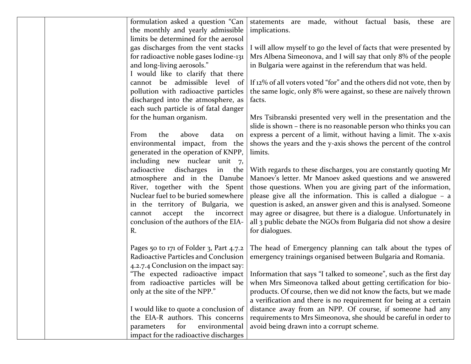| formulation asked a question "Can       | statements are made, without factual basis, these are                 |
|-----------------------------------------|-----------------------------------------------------------------------|
| the monthly and yearly admissible       | implications.                                                         |
| limits be determined for the aerosol    |                                                                       |
| gas discharges from the vent stacks     | I will allow myself to go the level of facts that were presented by   |
| for radioactive noble gases Iodine-131  | Mrs Albena Simeonova, and I will say that only 8% of the people       |
| and long-living aerosols."              | in Bulgaria were against in the referendum that was held.             |
| I would like to clarify that there      |                                                                       |
| cannot be admissible level of           | If 12% of all voters voted "for" and the others did not vote, then by |
| pollution with radioactive particles    | the same logic, only 8% were against, so these are naïvely thrown     |
| discharged into the atmosphere, as      | facts.                                                                |
| each such particle is of fatal danger   |                                                                       |
| for the human organism.                 | Mrs Tsibranski presented very well in the presentation and the        |
|                                         | slide is shown - there is no reasonable person who thinks you can     |
| From<br>above<br>data<br>the<br>on      | express a percent of a limit, without having a limit. The x-axis      |
| environmental impact, from the          | shows the years and the y-axis shows the percent of the control       |
| generated in the operation of KNPP,     | limits.                                                               |
| including new nuclear unit 7,           |                                                                       |
| radioactive<br>discharges<br>in the     | With regards to these discharges, you are constantly quoting Mr       |
| atmosphere and in the Danube            | Manoev's letter. Mr Manoev asked questions and we answered            |
| River, together with the Spent          | those questions. When you are giving part of the information,         |
| Nuclear fuel to be buried somewhere     | please give all the information. This is called a dialogue $-$ a      |
| in the territory of Bulgaria, we        | question is asked, an answer given and this is analysed. Someone      |
| accept<br>the<br>cannot<br>incorrect    | may agree or disagree, but there is a dialogue. Unfortunately in      |
| conclusion of the authors of the EIA-   | all 3 public debate the NGOs from Bulgaria did not show a desire      |
| R.                                      | for dialogues.                                                        |
|                                         |                                                                       |
| Pages 50 to 171 of Folder 3, Part 4.7.2 | The head of Emergency planning can talk about the types of            |
| Radioactive Particles and Conclusion    | emergency trainings organised between Bulgaria and Romania.           |
| 4.2.7.4 Conclusion on the impact say:   |                                                                       |
| "The expected radioactive impact        | Information that says "I talked to someone", such as the first day    |
| from radioactive particles will be      | when Mrs Simeonova talked about getting certification for bio-        |
| only at the site of the NPP."           | products. Of course, then we did not know the facts, but we made      |
|                                         | a verification and there is no requirement for being at a certain     |
| I would like to quote a conclusion of   | distance away from an NPP. Of course, if someone had any              |
| the EIA-R authors. This concerns        | requirements to Mrs Simeonova, she should be careful in order to      |
| for<br>environmental<br>parameters      | avoid being drawn into a corrupt scheme.                              |
| impact for the radioactive discharges   |                                                                       |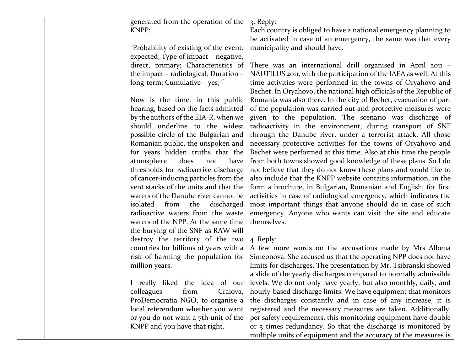|  | generated from the operation of the    | 3. Reply:                                                           |
|--|----------------------------------------|---------------------------------------------------------------------|
|  | KNPP:                                  | Each country is obliged to have a national emergency planning to    |
|  |                                        | be activated in case of an emergency, the same was that every       |
|  | "Probability of existing of the event: | municipality and should have.                                       |
|  | expected; Type of impact - negative,   |                                                                     |
|  | direct, primary; Characteristics of    | There was an international drill organised in April 2011 -          |
|  | the impact - radiological; Duration -  | NAUTILUS 2011, with the participation of the IAEA as well. At this  |
|  | long-term; Cumulative - yes; "         | time activities were performed in the towns of Oryahovo and         |
|  |                                        | Bechet. In Oryahovo, the national high officials of the Republic of |
|  | Now is the time, in this public        | Romania was also there. In the city of Bechet, evacuation of part   |
|  | hearing, based on the facts admitted   | of the population was carried out and protective measures were      |
|  | by the authors of the EIA-R, when we   | given to the population. The scenario was discharge of              |
|  | should underline to the widest         | radioactivity in the environment, during transport of SNF           |
|  | possible circle of the Bulgarian and   | through the Danube river, under a terrorist attack. All those       |
|  | Romanian public, the unspoken and      | necessary protective activities for the towns of Oryahovo and       |
|  | for years hidden truths that the       | Bechet were performed at this time. Also at this time the people    |
|  | atmosphere<br>does<br>have<br>not      | from both towns showed good knowledge of these plans. So I do       |
|  | thresholds for radioactive discharge   | not believe that they do not know these plans and would like to     |
|  | of cancer-inducing particles from the  | also include that the KNPP website contains information, in the     |
|  | vent stacks of the units and that the  | form a brochure, in Bulgarian, Romanian and English, for first      |
|  | waters of the Danube river cannot be   | activities in case of radiological emergency, which indicates the   |
|  | from<br>isolated<br>the<br>discharged  | most important things that anyone should do in case of such         |
|  | radioactive waters from the waste      | emergency. Anyone who wants can visit the site and educate          |
|  | waters of the NPP. At the same time    | themselves.                                                         |
|  | the burying of the SNF as RAW will     |                                                                     |
|  | destroy the territory of the two       | 4. Reply:                                                           |
|  | countries for billions of years with a | A few more words on the accusations made by Mrs Albena              |
|  | risk of harming the population for     | Simeonova. She accused us that the operating NPP does not have      |
|  | million years.                         | limits for discharges. The presentation by Mr. Tsibranski showed    |
|  |                                        | a slide of the yearly discharges compared to normally admissible    |
|  | I really liked the idea of our         | levels. We do not only have yearly, but also monthly, daily, and    |
|  | colleagues<br>from<br>Craiova,         | hourly-based discharge limits. We have equipment that monitors      |
|  | ProDemocratia NGO, to organise a       | the discharges constantly and in case of any increase, it is        |
|  | local referendum whether you want      | registered and the necessary measures are taken. Additionally,      |
|  | or you do not want a 7th unit of the   | per safety requirements, this monitoring equipment have double      |
|  | KNPP and you have that right.          | or 3 times redundancy. So that the discharge is monitored by        |
|  |                                        | multiple units of equipment and the accuracy of the measures is     |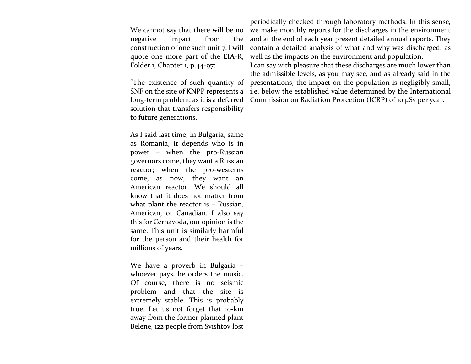|                                         | periodically checked through laboratory methods. In this sense,   |
|-----------------------------------------|-------------------------------------------------------------------|
|                                         |                                                                   |
| We cannot say that there will be no     | we make monthly reports for the discharges in the environment     |
| negative<br>impact<br>from<br>the       | and at the end of each year present detailed annual reports. They |
| construction of one such unit 7. I will | contain a detailed analysis of what and why was discharged, as    |
| quote one more part of the EIA-R,       | well as the impacts on the environment and population.            |
| Folder 1, Chapter 1, p.44-97:           | I can say with pleasure that these discharges are much lower than |
|                                         | the admissible levels, as you may see, and as already said in the |
| "The existence of such quantity of      | presentations, the impact on the population is negligibly small,  |
| SNF on the site of KNPP represents a    | i.e. below the established value determined by the International  |
| long-term problem, as it is a deferred  | Commission on Radiation Protection (ICRP) of 10 µSv per year.     |
| solution that transfers responsibility  |                                                                   |
| to future generations."                 |                                                                   |
|                                         |                                                                   |
| As I said last time, in Bulgaria, same  |                                                                   |
| as Romania, it depends who is in        |                                                                   |
| power - when the pro-Russian            |                                                                   |
| governors come, they want a Russian     |                                                                   |
| reactor; when the pro-westerns          |                                                                   |
| come, as now, they want an              |                                                                   |
| American reactor. We should all         |                                                                   |
| know that it does not matter from       |                                                                   |
| what plant the reactor is $-$ Russian,  |                                                                   |
| American, or Canadian. I also say       |                                                                   |
| this for Cernavoda, our opinion is the  |                                                                   |
| same. This unit is similarly harmful    |                                                                   |
| for the person and their health for     |                                                                   |
| millions of years.                      |                                                                   |
|                                         |                                                                   |
| We have a proverb in Bulgaria -         |                                                                   |
| whoever pays, he orders the music.      |                                                                   |
| Of course, there is no seismic          |                                                                   |
| problem and that the site is            |                                                                   |
| extremely stable. This is probably      |                                                                   |
| true. Let us not forget that 10-km      |                                                                   |
| away from the former planned plant      |                                                                   |
| Belene, 122 people from Svishtov lost   |                                                                   |
|                                         |                                                                   |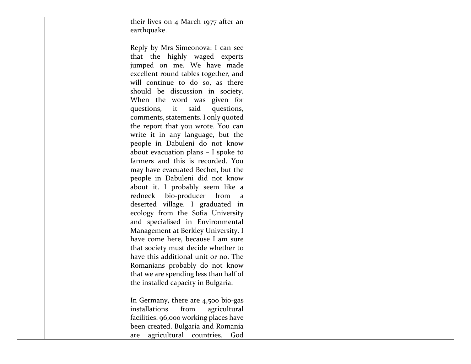| their lives on 4 March 1977 after an   |  |
|----------------------------------------|--|
|                                        |  |
| earthquake.                            |  |
|                                        |  |
| Reply by Mrs Simeonova: I can see      |  |
| that the highly waged experts          |  |
| jumped on me. We have made             |  |
| excellent round tables together, and   |  |
| will continue to do so, as there       |  |
| should be discussion in society.       |  |
| When the word was given for            |  |
| questions,<br>said<br>it<br>questions, |  |
| comments, statements. I only quoted    |  |
| the report that you wrote. You can     |  |
| write it in any language, but the      |  |
| people in Dabuleni do not know         |  |
| about evacuation plans $-$ I spoke to  |  |
| farmers and this is recorded. You      |  |
|                                        |  |
| may have evacuated Bechet, but the     |  |
| people in Dabuleni did not know        |  |
| about it. I probably seem like a       |  |
| redneck bio-producer from a            |  |
| deserted village. I graduated in       |  |
| ecology from the Sofia University      |  |
| and specialised in Environmental       |  |
| Management at Berkley University. I    |  |
| have come here, because I am sure      |  |
| that society must decide whether to    |  |
| have this additional unit or no. The   |  |
| Romanians probably do not know         |  |
| that we are spending less than half of |  |
| the installed capacity in Bulgaria.    |  |
|                                        |  |
| In Germany, there are 4,500 bio-gas    |  |
| installations<br>from<br>agricultural  |  |
| facilities. 96,000 working places have |  |
| been created. Bulgaria and Romania     |  |
| are agricultural countries. God        |  |
|                                        |  |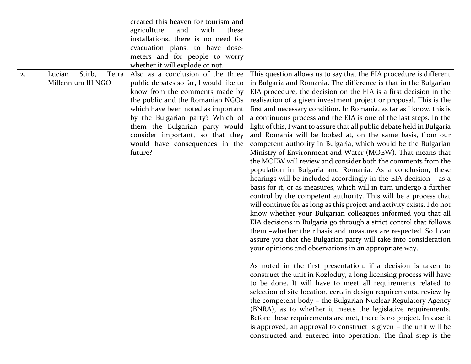|    |                                                 | created this heaven for tourism and                                                                                                                                                                                                                                                                                                            |                                                                                                                                                                                                                                                                                                                                                                                                                                                                                                                                                                                                                                                                                                                                                                                                                                                                                                                                                                                                                                                                                                                                                                                                                                                                                                                                                                                                                                                                  |
|----|-------------------------------------------------|------------------------------------------------------------------------------------------------------------------------------------------------------------------------------------------------------------------------------------------------------------------------------------------------------------------------------------------------|------------------------------------------------------------------------------------------------------------------------------------------------------------------------------------------------------------------------------------------------------------------------------------------------------------------------------------------------------------------------------------------------------------------------------------------------------------------------------------------------------------------------------------------------------------------------------------------------------------------------------------------------------------------------------------------------------------------------------------------------------------------------------------------------------------------------------------------------------------------------------------------------------------------------------------------------------------------------------------------------------------------------------------------------------------------------------------------------------------------------------------------------------------------------------------------------------------------------------------------------------------------------------------------------------------------------------------------------------------------------------------------------------------------------------------------------------------------|
|    |                                                 | agriculture<br>and<br>with<br>these                                                                                                                                                                                                                                                                                                            |                                                                                                                                                                                                                                                                                                                                                                                                                                                                                                                                                                                                                                                                                                                                                                                                                                                                                                                                                                                                                                                                                                                                                                                                                                                                                                                                                                                                                                                                  |
|    |                                                 | installations, there is no need for                                                                                                                                                                                                                                                                                                            |                                                                                                                                                                                                                                                                                                                                                                                                                                                                                                                                                                                                                                                                                                                                                                                                                                                                                                                                                                                                                                                                                                                                                                                                                                                                                                                                                                                                                                                                  |
|    |                                                 | evacuation plans, to have dose-                                                                                                                                                                                                                                                                                                                |                                                                                                                                                                                                                                                                                                                                                                                                                                                                                                                                                                                                                                                                                                                                                                                                                                                                                                                                                                                                                                                                                                                                                                                                                                                                                                                                                                                                                                                                  |
|    |                                                 | meters and for people to worry                                                                                                                                                                                                                                                                                                                 |                                                                                                                                                                                                                                                                                                                                                                                                                                                                                                                                                                                                                                                                                                                                                                                                                                                                                                                                                                                                                                                                                                                                                                                                                                                                                                                                                                                                                                                                  |
|    |                                                 | whether it will explode or not.                                                                                                                                                                                                                                                                                                                |                                                                                                                                                                                                                                                                                                                                                                                                                                                                                                                                                                                                                                                                                                                                                                                                                                                                                                                                                                                                                                                                                                                                                                                                                                                                                                                                                                                                                                                                  |
| 2. | Stirb,<br>Terra<br>Lucian<br>Millennium III NGO | Also as a conclusion of the three<br>public debates so far, I would like to<br>know from the comments made by<br>the public and the Romanian NGOs<br>which have been noted as important<br>by the Bulgarian party? Which of<br>them the Bulgarian party would<br>consider important, so that they<br>would have consequences in the<br>future? | This question allows us to say that the EIA procedure is different<br>in Bulgaria and Romania. The difference is that in the Bulgarian<br>EIA procedure, the decision on the EIA is a first decision in the<br>realisation of a given investment project or proposal. This is the<br>first and necessary condition. In Romania, as far as I know, this is<br>a continuous process and the EIA is one of the last steps. In the<br>light of this, I want to assure that all public debate held in Bulgaria<br>and Romania will be looked at, on the same basis, from our<br>competent authority in Bulgaria, which would be the Bulgarian<br>Ministry of Environment and Water (MOEW). That means that<br>the MOEW will review and consider both the comments from the<br>population in Bulgaria and Romania. As a conclusion, these<br>hearings will be included accordingly in the EIA decision - as a<br>basis for it, or as measures, which will in turn undergo a further<br>control by the competent authority. This will be a process that<br>will continue for as long as this project and activity exists. I do not<br>know whether your Bulgarian colleagues informed you that all<br>EIA decisions in Bulgaria go through a strict control that follows<br>them -whether their basis and measures are respected. So I can<br>assure you that the Bulgarian party will take into consideration<br>your opinions and observations in an appropriate way. |
|    |                                                 |                                                                                                                                                                                                                                                                                                                                                | As noted in the first presentation, if a decision is taken to<br>construct the unit in Kozloduy, a long licensing process will have<br>to be done. It will have to meet all requirements related to<br>selection of site location, certain design requirements, review by<br>the competent body - the Bulgarian Nuclear Regulatory Agency<br>(BNRA), as to whether it meets the legislative requirements.<br>Before these requirements are met, there is no project. In case it<br>is approved, an approval to construct is given - the unit will be<br>constructed and entered into operation. The final step is the                                                                                                                                                                                                                                                                                                                                                                                                                                                                                                                                                                                                                                                                                                                                                                                                                                            |